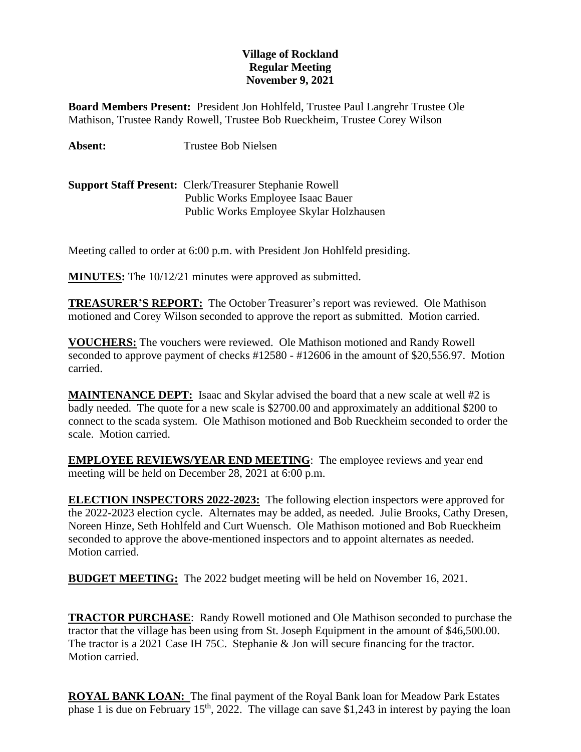## **Village of Rockland Regular Meeting November 9, 2021**

**Board Members Present:** President Jon Hohlfeld, Trustee Paul Langrehr Trustee Ole Mathison, Trustee Randy Rowell, Trustee Bob Rueckheim, Trustee Corey Wilson

**Absent:** Trustee Bob Nielsen

**Support Staff Present:** Clerk/Treasurer Stephanie Rowell Public Works Employee Isaac Bauer Public Works Employee Skylar Holzhausen

Meeting called to order at 6:00 p.m. with President Jon Hohlfeld presiding.

**MINUTES:** The 10/12/21 minutes were approved as submitted.

**TREASURER'S REPORT:** The October Treasurer's report was reviewed. Ole Mathison motioned and Corey Wilson seconded to approve the report as submitted. Motion carried.

**VOUCHERS:** The vouchers were reviewed. Ole Mathison motioned and Randy Rowell seconded to approve payment of checks #12580 - #12606 in the amount of \$20,556.97. Motion carried.

**MAINTENANCE DEPT:** Isaac and Skylar advised the board that a new scale at well #2 is badly needed. The quote for a new scale is \$2700.00 and approximately an additional \$200 to connect to the scada system. Ole Mathison motioned and Bob Rueckheim seconded to order the scale. Motion carried.

**EMPLOYEE REVIEWS/YEAR END MEETING**: The employee reviews and year end meeting will be held on December 28, 2021 at 6:00 p.m.

**ELECTION INSPECTORS 2022-2023:** The following election inspectors were approved for the 2022-2023 election cycle. Alternates may be added, as needed. Julie Brooks, Cathy Dresen, Noreen Hinze, Seth Hohlfeld and Curt Wuensch. Ole Mathison motioned and Bob Rueckheim seconded to approve the above-mentioned inspectors and to appoint alternates as needed. Motion carried.

**BUDGET MEETING:** The 2022 budget meeting will be held on November 16, 2021.

**TRACTOR PURCHASE**: Randy Rowell motioned and Ole Mathison seconded to purchase the tractor that the village has been using from St. Joseph Equipment in the amount of \$46,500.00. The tractor is a 2021 Case IH 75C. Stephanie & Jon will secure financing for the tractor. Motion carried.

**ROYAL BANK LOAN:** The final payment of the Royal Bank loan for Meadow Park Estates phase 1 is due on February 15<sup>th</sup>, 2022. The village can save \$1,243 in interest by paying the loan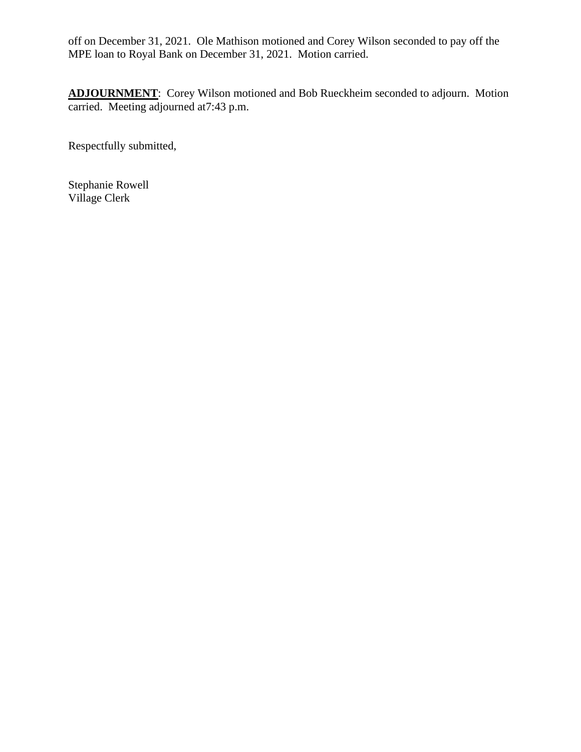off on December 31, 2021. Ole Mathison motioned and Corey Wilson seconded to pay off the MPE loan to Royal Bank on December 31, 2021. Motion carried.

**ADJOURNMENT**: Corey Wilson motioned and Bob Rueckheim seconded to adjourn. Motion carried. Meeting adjourned at7:43 p.m.

Respectfully submitted,

Stephanie Rowell Village Clerk